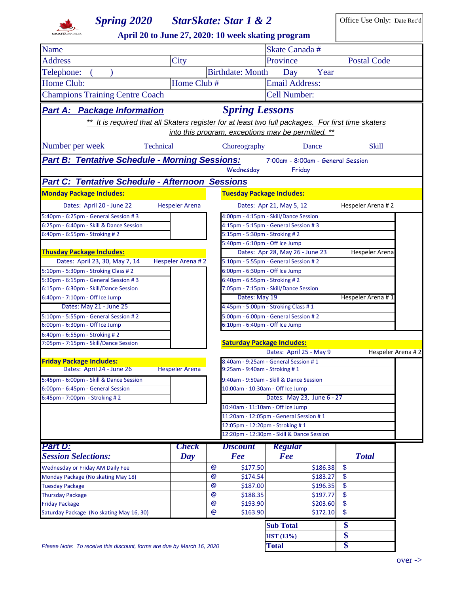

## **Spring 2020 StarSkate: Star 1 & 2** Office Use Only: Date Rec'd

**April 20 to June 27, 2020: 10 week skating program**

| April 20 to June 27, 2020: To week skating program                                                 |                       |                   |                                                                       |                                                    |                              |  |
|----------------------------------------------------------------------------------------------------|-----------------------|-------------------|-----------------------------------------------------------------------|----------------------------------------------------|------------------------------|--|
| <b>Name</b>                                                                                        |                       |                   |                                                                       | Skate Canada #                                     |                              |  |
| <b>Address</b>                                                                                     | City                  |                   |                                                                       | Province                                           | <b>Postal Code</b>           |  |
| Telephone:                                                                                         |                       |                   | <b>Birthdate: Month</b>                                               | Day<br>Year                                        |                              |  |
| Home Club:                                                                                         | Home Club #           |                   |                                                                       | <b>Email Address:</b>                              |                              |  |
| <b>Champions Training Centre Coach</b>                                                             |                       |                   |                                                                       | <b>Cell Number:</b>                                |                              |  |
|                                                                                                    |                       |                   |                                                                       |                                                    |                              |  |
| <b>Part A: Package Information</b>                                                                 |                       |                   | <b>Spring Lessons</b>                                                 |                                                    |                              |  |
| ** It is required that all Skaters register for at least two full packages. For first time skaters |                       |                   |                                                                       |                                                    |                              |  |
|                                                                                                    |                       |                   |                                                                       | into this program, exceptions may be permitted. ** |                              |  |
| Number per week<br>Technical                                                                       |                       |                   | Choreography                                                          | Dance                                              | <b>Skill</b>                 |  |
|                                                                                                    |                       |                   |                                                                       |                                                    |                              |  |
| <b>Part B: Tentative Schedule - Morning Sessions:</b>                                              |                       |                   |                                                                       | 7:00am - 8:00am - General Session                  |                              |  |
|                                                                                                    |                       |                   | Wednesday                                                             | Friday                                             |                              |  |
| <b>Part C: Tentative Schedule - Afternoon Sessions</b>                                             |                       |                   |                                                                       |                                                    |                              |  |
| <b>Monday Package Includes:</b>                                                                    |                       |                   | <b>Tuesday Package Includes:</b>                                      |                                                    |                              |  |
| Dates: April 20 - June 22                                                                          | <b>Hespeler Arena</b> |                   |                                                                       | Dates: Apr 21, May 5, 12                           | Hespeler Arena #2            |  |
| 5:40pm - 6:25pm - General Session #3                                                               |                       |                   |                                                                       | 4:00pm - 4:15pm - Skill/Dance Session              |                              |  |
| 6:25pm - 6:40pm - Skill & Dance Session                                                            |                       |                   |                                                                       | 4:15pm - 5:15pm - General Session #3               |                              |  |
| 6:40pm - 6:55pm - Stroking #2                                                                      |                       |                   | 5:15pm - 5:30pm - Stroking # 2                                        |                                                    |                              |  |
|                                                                                                    |                       |                   | 5:40pm - 6:10pm - Off Ice Jump                                        |                                                    |                              |  |
| <b>Thusday Package Includes:</b>                                                                   |                       |                   |                                                                       | Dates: Apr 28, May 26 - June 23                    | Hespeler Arena               |  |
| Dates: April 23, 30, May 7, 14                                                                     | Hespeler Arena #2     |                   |                                                                       | 5:10pm - 5:55pm - General Session #2               |                              |  |
| 5:10pm - 5:30pm - Stroking Class # 2                                                               |                       |                   | 6:00pm - 6:30pm - Off Ice Jump                                        |                                                    |                              |  |
| 5:30pm - 6:15pm - General Session #3<br>6:15pm - 6:30pm - Skill/Dance Session                      |                       |                   | 6:40pm - 6:55pm - Stroking #2                                         | 7:05pm - 7:15pm - Skill/Dance Session              |                              |  |
| 6:40pm - 7:10pm - Off Ice Jump                                                                     |                       |                   | Dates: May 19                                                         |                                                    | Hespeler Arena #1            |  |
| Dates: May 21 - June 25                                                                            |                       |                   |                                                                       | 4:45pm - 5:00pm - Stroking Class #1                |                              |  |
| 5:10pm - 5:55pm - General Session # 2                                                              |                       |                   |                                                                       | 5:00pm - 6:00pm - General Session # 2              |                              |  |
| 6:00pm - 6:30pm - Off Ice Jump                                                                     |                       |                   | 6:10pm - 6:40pm - Off Ice Jump                                        |                                                    |                              |  |
| 6:40pm - 6:55pm - Stroking #2                                                                      |                       |                   |                                                                       |                                                    |                              |  |
| 7:05pm - 7:15pm - Skill/Dance Session                                                              |                       |                   | <b>Saturday Package Includes:</b>                                     |                                                    |                              |  |
|                                                                                                    |                       |                   |                                                                       | Dates: April 25 - May 9                            | Hespeler Arena #2            |  |
| <b>Friday Package Includes:</b>                                                                    |                       |                   | 8:40am - 9:25am - General Session #1<br>9:25am - 9:40am - Stroking #1 |                                                    |                              |  |
| Dates: April 24 - June 26                                                                          | <b>Hespeler Arena</b> |                   |                                                                       |                                                    |                              |  |
| 5:45pm - 6:00pm - Skill & Dance Session                                                            |                       |                   |                                                                       | 9:40am - 9:50am - Skill & Dance Session            |                              |  |
| 6:00pm - 6:45pm - General Session<br>6:45pm - 7:00pm - Stroking #2                                 |                       |                   | 10:00am - 10:30am - Off Ice Jump                                      | Dates: May 23, June 6 - 27                         |                              |  |
|                                                                                                    |                       |                   | 10:40am - 11:10am - Off Ice Jump                                      |                                                    |                              |  |
|                                                                                                    |                       |                   |                                                                       | 11:20am - 12:05pm - General Session # 1            |                              |  |
|                                                                                                    |                       |                   | 12:05pm - 12:20pm - Stroking # 1                                      |                                                    |                              |  |
|                                                                                                    |                       |                   |                                                                       | 12:20pm - 12:30pm - Skill & Dance Session          |                              |  |
| <u>Part D:</u>                                                                                     | <b>Check</b>          |                   | <i><b>Discount</b></i>                                                | <b>Regular</b>                                     |                              |  |
| <b>Session Selections:</b>                                                                         | Day                   |                   | Fee                                                                   | Fee                                                | <b>Total</b>                 |  |
| Wednesday or Friday AM Daily Fee                                                                   |                       | $\mathbf{\Theta}$ | \$177.50                                                              | \$186.38                                           | \$                           |  |
| Monday Package (No skating May 18)                                                                 |                       | $\circledcirc$    | \$174.54                                                              | \$183.27                                           | \$                           |  |
| <b>Tuesday Package</b>                                                                             |                       | $\circledcirc$    | \$187.00                                                              | \$196.35                                           | \$                           |  |
| <b>Thursday Package</b>                                                                            |                       | $\circ$           | \$188.35                                                              | \$197.77                                           | \$                           |  |
| <b>Friday Package</b>                                                                              |                       | <u>ම</u>          | \$193.90                                                              | \$203.60                                           | \$                           |  |
|                                                                                                    |                       | @                 | \$163.90                                                              | \$172.10                                           | \$                           |  |
|                                                                                                    |                       |                   |                                                                       |                                                    |                              |  |
| Saturday Package (No skating May 16, 30)                                                           |                       |                   |                                                                       |                                                    |                              |  |
|                                                                                                    |                       |                   |                                                                       | <b>Sub Total</b><br><b>HST</b> (13%)               | $\boldsymbol{\hat{s}}$<br>\$ |  |